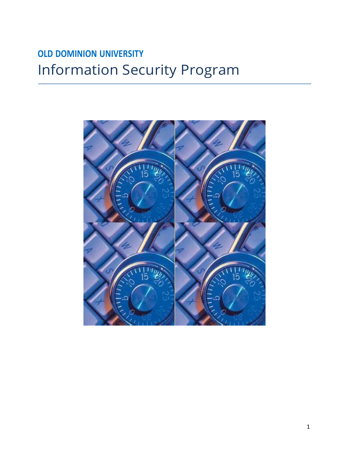# **OLD DOMINION UNIVERSITY** Information Security Program

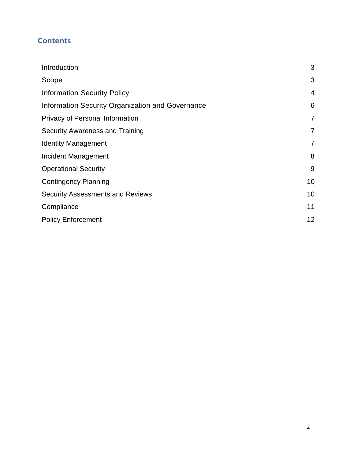# **Contents**

| 3              |
|----------------|
| 3              |
| 4              |
| 6              |
| 7              |
| 7              |
| $\overline{7}$ |
| 8              |
| 9              |
| 10             |
| 10             |
| 11             |
| 12             |
|                |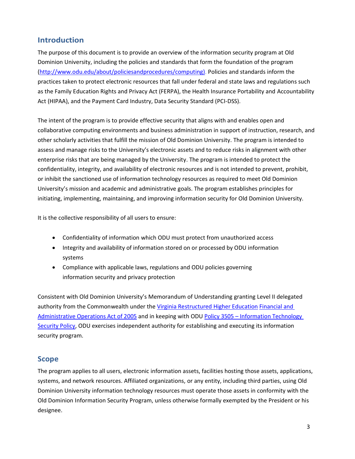### <span id="page-2-0"></span>**Introduction**

The purpose of this document is to provide an overview of the information security program at Old Dominion University, including the policies and standards that form the foundation of the program [\(http://www.odu.edu/about/policiesandprocedures/computing\)](http://www.odu.edu/about/policiesandprocedures/computing). Policies and standards inform the practices taken to protect electronic resources that fall under federal and state laws and regulations such as the Family Education Rights and Privacy Act (FERPA), the Health Insurance Portability and Accountability Act (HIPAA), and the Payment Card Industry, Data Security Standard (PCI-DSS).

The intent of the program is to provide effective security that aligns with and enables open and collaborative computing environments and business administration in support of instruction, research, and other scholarly activities that fulfill the mission of Old Dominion University. The program is intended to assess and manage risks to the University's electronic assets and to reduce risks in alignment with other enterprise risks that are being managed by the University. The program is intended to protect the confidentiality, integrity, and availability of electronic resources and is not intended to prevent, prohibit, or inhibit the sanctioned use of information technology resources as required to meet Old Dominion University's mission and academic and administrative goals. The program establishes principles for initiating, implementing, maintaining, and improving information security for Old Dominion University.

It is the collective responsibility of all users to ensure:

- Confidentiality of information which ODU must protect from unauthorized access
- Integrity and availability of information stored on or processed by ODU information systems
- Compliance with applicable laws, regulations and ODU policies governing information security and privacy protection

Consistent with Old Dominion University's Memorandum of Understanding granting Level II delegated authority from the Commonwealth under the Virginia [Restructured](http://www.schev.edu/index/institutional/planning-and-performance/restructuring) Higher Education [Financial and](http://www.schev.edu/index/institutional/planning-and-performance/restructuring)  [Administrative Operations Act of 2005](http://www.schev.edu/index/institutional/planning-and-performance/restructuring) and in keeping with ODU Policy 3505 – [Information Technology](http://www.odu.edu/about/policiesandprocedures/university/3000/3505)  [Security Policy,](http://www.odu.edu/about/policiesandprocedures/university/3000/3505) ODU exercises independent authority for establishing and executing its information security program.

### <span id="page-2-1"></span>**Scope**

The program applies to all users, electronic information assets, facilities hosting those assets, applications, systems, and network resources. Affiliated organizations, or any entity, including third parties, using Old Dominion University information technology resources must operate those assets in conformity with the Old Dominion Information Security Program, unless otherwise formally exempted by the President or his designee.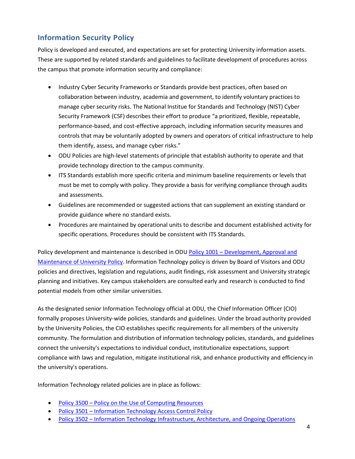# <span id="page-3-0"></span>**Information Security Policy**

Policy is developed and executed, and expectations are set for protecting University information assets. These are supported by related standards and guidelines to facilitate development of procedures across the campus that promote information security and compliance:

- Industry Cyber Security Frameworks or Standards provide best practices, often based on collaboration between industry, academia and government, to identify voluntary practices to manage cyber security risks. The National Institue for Standards and Technology (NIST) Cyber Security Framework (CSF) describes their effort to produce "a prioritized, flexible, repeatable, performance-based, and cost-effective approach, including information security measures and controls that may be voluntarily adopted by owners and operators of critical infrastructure to help them identify, assess, and manage cyber risks."
- ODU Policies are high-level statements of principle that establish authority to operate and that provide technology direction to the campus community.
- ITS Standards establish more specific criteria and minimum baseline requirements or levels that must be met to comply with policy. They provide a basis for verifying compliance through audits and assessments.
- Guidelines are recommended or suggested actions that can supplement an existing standard or provide guidance where no standard exists.
- Procedures are maintained by operational units to describe and document established activity for specific operations. Procedures should be consistent with ITS Standards.

Policy development and maintenance is described in ODU Policy 1001 – [Development, Approval and](http://www.odu.edu/about/policiesandprocedures/university/1000/1001) [Maintenance of University Policy.](http://www.odu.edu/about/policiesandprocedures/university/1000/1001) Information Technology policy is driven by Board of Visitors and ODU policies and directives, legislation and regulations, audit findings, risk assessment and University strategic planning and initiatives. Key campus stakeholders are consulted early and research is conducted to find potential models from other similar universities.

As the designated senior Information Technology official at ODU, the Chief Information Officer (CIO) formally proposes University-wide policies, standards and guidelines. Under the broad authority provided by the University Policies, the CIO establishes specific requirements for all members of the university community. The formulation and distribution of information technology policies, standards, and guidelines connect the university's expectations to individual conduct, institutionalize expectations, support compliance with laws and regulation, mitigate institutional risk, and enhance productivity and efficiency in the university's operations.

Information Technology related policies are in place as follows:

- Policy 3500 Policy on the Use of [Computing](http://www.odu.edu/about/policiesandprocedures/university/3000/3500) Resources
- Policy 3501 Information [Technology Access](http://www.odu.edu/about/policiesandprocedures/university/3000/3501) Control Policy
- Policy 3502 Information Technology Infrastructure, Architecture, and Ongoing Operations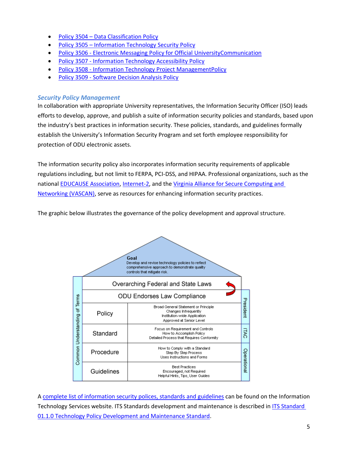- Policy 3504 Data [Classification](http://www.odu.edu/about/policiesandprocedures/university/3000/3504) Policy
- Policy 3505 [Information Technology](http://www.odu.edu/about/policiesandprocedures/university/3000/3505) Security Policy
- Policy 3506 Electronic Messaging Policy for Official [UniversityCommunication](http://www.odu.edu/about/policiesandprocedures/university/3000/3506)
- Policy 3507 Information Technology [Accessibility](http://www.odu.edu/about/policiesandprocedures/university/3000/3507) Policy
- Policy 3508 Information Technology Project [ManagementPolicy](http://www.odu.edu/about/policiesandprocedures/university/3000/3508)
- Policy 3509 [Software Decision Analysis Policy](https://www.odu.edu/about/policiesandprocedures/university/3000/3509)

### *Security Policy Management*

In collaboration with appropriate University representatives, the Information Security Officer (ISO) leads efforts to develop, approve, and publish a suite of information security policies and standards, based upon the industry's best practices in information security. These policies, standards, and guidelines formally establish the University's Information Security Program and set forth employee responsibility for protection of ODU electronic assets.

The information security policy also incorporates information security requirements of applicable regulations including, but not limit to FERPA, PCI-DSS, and HIPAA. Professional organizations, such as the national [EDUCAUSE Association,](http://www.educause.edu/) [Internet-2,](https://internet2.edu/) and the [Virginia Alliance for Secure Computing and](http://vascan.org/)  [Networking \(VASCAN\), s](http://vascan.org/)erve as resources for enhancing information security practices.

The graphic below illustrates the governance of the policy development and approval structure.

|                               |            | Goal<br>Develop and revise technology policies to reflect<br>comprehensive approach to demonstrate quality<br>controls that mitigate risk. |            |
|-------------------------------|------------|--------------------------------------------------------------------------------------------------------------------------------------------|------------|
| Common Understanding of Terms |            | Overarching Federal and State Laws                                                                                                         |            |
|                               |            | ODU Endorses Law Compliance                                                                                                                |            |
|                               | Policy     | <b>Broad General Statement or Principle</b><br>Changes Infrequently<br>Institution-wide Application<br>Approved at Senior Level            | President  |
|                               | Standard   | Focus on Requirement and Controls<br>How to Accomplish Policy<br>Detailed Process that Requires Conformity                                 | IRC        |
|                               | Procedure  | How to Comply with a Standard<br>Step By Step Process<br>Uses Instructions and Forms                                                       | Operationa |
|                               | Guidelines | <b>Best Practices</b><br>Encouraged, not Required<br>Helpful Hints, Tips, User Guides                                                      |            |

A complete list of [information security](http://www.odu.edu/about/policiesandprocedures/computing) polices, standards and guidelines can be found on the Information Technology Services website. ITS Standards development and maintenance is described in [ITS Standard](https://www.odu.edu/about/policiesandprocedures/computing/standards/01/01)  [01.1.0 Technology Policy Development and Maintenance Standard.](https://www.odu.edu/about/policiesandprocedures/computing/standards/01/01)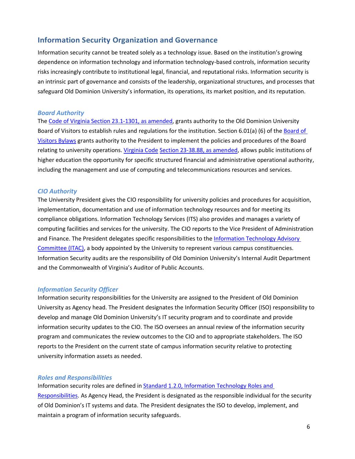### <span id="page-5-0"></span>**Information Security Organization and Governance**

Information security cannot be treated solely as a technology issue. Based on the institution's growing dependence on information technology and information technology-based controls, information security risks increasingly contribute to institutional legal, financial, and reputational risks. Information security is an intrinsic part of governance and consists of the leadership, organizational structures, and processes that safeguard Old Dominion University's information, its operations, its market position, and its reputation.

#### *Board Authority*

The Code of Virginia Section [23.1-1301,](http://law.lis.virginia.gov/vacode/title23.1/chapter13/section23.1-1301/) as amended, grants authority to the Old Dominion University [Board](https://www.odu.edu/about/bov/bov-manual/bylaws) of Visitors to establish rules and regulations for the institution. Section 6.01(a) (6) of the Board of [Visitors](https://www.odu.edu/about/bov/bov-manual/bylaws) Bylaws grants authority to the President to implement the policies and procedures of the Board relating to university operations. [Virginia](http://leg1.state.va.us/000/cod/23-38.88.HTM) Code Section 23-38.88, as [amended,](http://leg1.state.va.us/000/cod/23-38.88.HTM) allows public institutions of higher education the opportunity for specific structured financial and administrative operational authority, including the management and use of computing and telecommunications resources and services.

#### *CIO Authority*

The University President gives the CIO responsibility for university policies and procedures for acquisition, implementation, documentation and use of information technology resources and for meeting its compliance obligations. Information Technology Services (ITS) also provides and manages a variety of computing facilities and services for the university. The CIO reports to the Vice President of Administration and Finance. The President delegates specific responsibilities to the [Information](http://www.odu.edu/its/advisory-committee/itac) Technology Advisory [Committee](http://www.odu.edu/its/advisory-committee/itac) (ITAC), a body appointed by the University to represent various campus constituencies. Information Security audits are the responsibility of Old Dominion University's Internal Audit Department and the Commonwealth of Virginia's Auditor of Public Accounts.

#### *Information Security Officer*

Information security responsibilities for the University are assigned to the President of Old Dominion University as Agency head. The President designates the Information Security Officer (ISO) responsibility to develop and manage Old Dominion University's IT security program and to coordinate and provide information security updates to the CIO. The ISO oversees an annual review of the information security program and communicates the review outcomes to the CIO and to appropriate stakeholders. The ISO reports to the President on the current state of campus information security relative to protecting university information assets as needed.

#### *Roles and Responsibilities*

Information security roles are defined in [Standard](http://www.odu.edu/about/policiesandprocedures/computing/standards/01/02) 1.2.0, [Information](http://www.odu.edu/about/policiesandprocedures/computing/standards/01/02) Technology Roles and [Responsibilities.](http://www.odu.edu/about/policiesandprocedures/computing/standards/01/02) As Agency Head, the President is designated as the responsible individual for the security of Old Dominion's IT systems and data. The President designates the ISO to develop, implement, and maintain a program of information security safeguards.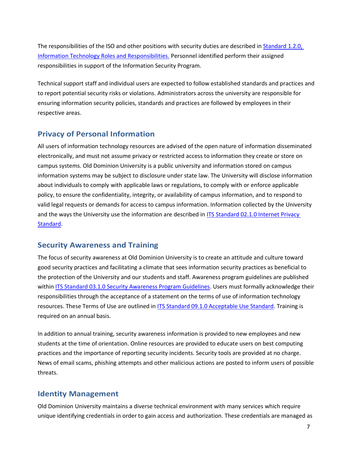The responsibilities of the ISO and other positions with security duties are described in [Standard 1.2.0,](http://www.odu.edu/about/policiesandprocedures/computing/standards/01/02)  [Information Technology Roles and Responsibilities.](http://www.odu.edu/about/policiesandprocedures/computing/standards/01/02) Personnel identified perform their assigned responsibilities in support of the Information Security Program.

Technical support staff and individual users are expected to follow established standards and practices and to report potential security risks or violations. Administrators across the university are responsible for ensuring information security policies, standards and practices are followed by employees in their respective areas.

# <span id="page-6-0"></span>**Privacy of Personal Information**

All users of information technology resources are advised of the open nature of information disseminated electronically, and must not assume privacy or restricted access to information they create or store on campus systems. Old Dominion University is a public university and information stored on campus information systems may be subject to disclosure under state law. The University will disclose information about individuals to comply with applicable laws or regulations, to comply with or enforce applicable policy, to ensure the confidentiality, integrity, or availability of campus information, and to respond to valid legal requests or demands for access to campus information. Information collected by the University and the ways the University use the information are described in [ITS Standard 02.1.0 Internet Privacy](https://www.odu.edu/about/policiesandprocedures/computing/standards/02/01)  [Standard.](https://www.odu.edu/about/policiesandprocedures/computing/standards/02/01)

# <span id="page-6-1"></span>**Security Awareness and Training**

The focus of security awareness at Old Dominion University is to create an attitude and culture toward good security practices and facilitating a climate that sees information security practices as beneficial to the protection of the University and our students and staff. Awareness program guidelines are published withi[n ITS Standard 03.1.0 Security Awareness Program Guidelines.](https://www.odu.edu/about/policiesandprocedures/computing/standards/03/01) Users must formally acknowledge their responsibilities through the acceptance of a statement on the terms of use of information technology resources. These Terms of Use are outlined in [ITS Standard 09.1.0 Acceptable Use Standard.](https://www.odu.edu/about/policiesandprocedures/computing/standards/09/01) Training is required on an annual basis.

In addition to annual training, security awareness information is provided to new employees and new students at the time of orientation. Online resources are provided to educate users on best computing practices and the importance of reporting security incidents. Security tools are provided at no charge. News of email scams, phishing attempts and other malicious actions are posted to inform users of possible threats.

### <span id="page-6-2"></span>**Identity Management**

Old Dominion University maintains a diverse technical environment with many services which require unique identifying credentials in order to gain access and authorization. These credentials are managed as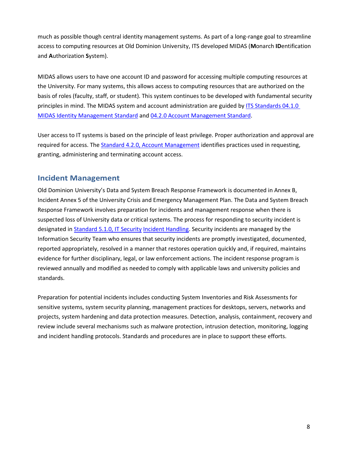much as possible though central identity management systems. As part of a long-range goal to streamline access to computing resources at Old Dominion University, ITS developed MIDAS (**M**onarch **ID**entification and **A**uthorization **S**ystem).

MIDAS allows users to have one account ID and password for accessing multiple computing resources at the University. For many systems, this allows access to computing resources that are authorized on the basis of roles (faculty, staff, or student). This system continues to be developed with fundamental security principles in mind. The MIDAS system and account administration are guided by [ITS Standards 04.1.0](https://www.odu.edu/about/policiesandprocedures/computing/standards/04/01)  [MIDAS Identity Management Standard](https://www.odu.edu/about/policiesandprocedures/computing/standards/04/01) and [04.2.0 Account Management Standard.](https://www.odu.edu/about/policiesandprocedures/computing/standards/04/02)

User access to IT systems is based on the principle of least privilege. Proper authorization and approval are required for access. The [Standard 4.2.0,](http://www.odu.edu/about/policiesandprocedures/computing/standards/04/02) Account Management identifies practices used in requesting, granting, administering and terminating account access.

# <span id="page-7-0"></span>**Incident Management**

Old Dominion University's Data and System Breach Response Framework is documented in Annex B, Incident Annex 5 of the University Crisis and Emergency Management Plan. The Data and System Breach Response Framework involves preparation for incidents and management response when there is suspected loss of University data or critical systems. The process for responding to security incident is designated in [Standard](http://www.odu.edu/about/policiesandprocedures/computing/standards/05/01) 5.1.0, IT Security Incident [Handling.](http://www.odu.edu/about/policiesandprocedures/computing/standards/05/01) Security incidents are managed by the Information Security Team who ensures that security incidents are promptly investigated, documented, reported appropriately, resolved in a manner that restores operation quickly and, if required, maintains evidence for further disciplinary, legal, or law enforcement actions. The incident response program is reviewed annually and modified as needed to comply with applicable laws and university policies and standards.

Preparation for potential incidents includes conducting System Inventories and Risk Assessments for sensitive systems, system security planning, management practices for desktops, servers, networks and projects, system hardening and data protection measures. Detection, analysis, containment, recovery and review include several mechanisms such as malware protection, intrusion detection, monitoring, logging and incident handling protocols. Standards and procedures are in place to support these efforts.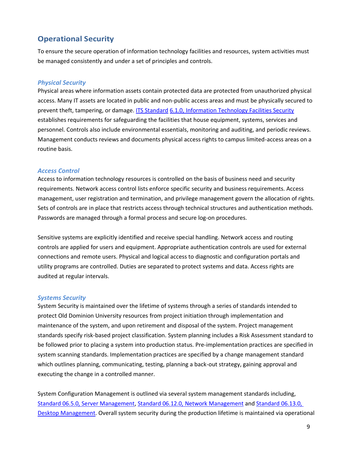# <span id="page-8-0"></span>**Operational Security**

To ensure the secure operation of information technology facilities and resources, system activities must be managed consistently and under a set of principles and controls.

### *Physical Security*

Physical areas where information assets contain protected data are protected from unauthorized physical access. Many IT assets are located in public and non-public access areas and must be physically secured to prevent theft, tampering, or damage. ITS [Standard](http://www.odu.edu/about/policiesandprocedures/computing/standards/06/01) 6.1.0, [Information](http://www.odu.edu/about/policiesandprocedures/computing/standards/06/01) Technology Facilities Security establishes requirements for safeguarding the facilities that house equipment, systems, services and personnel. Controls also include environmental essentials, monitoring and auditing, and periodic reviews. Management conducts reviews and documents physical access rights to campus limited-access areas on a routine basis.

### *Access Control*

Access to information technology resources is controlled on the basis of business need and security requirements. Network access control lists enforce specific security and business requirements. Access management, user registration and termination, and privilege management govern the allocation of rights. Sets of controls are in place that restricts access through technical structures and authentication methods. Passwords are managed through a formal process and secure log-on procedures.

Sensitive systems are explicitly identified and receive special handling. Network access and routing controls are applied for users and equipment. Appropriate authentication controls are used for external connections and remote users. Physical and logical access to diagnostic and configuration portals and utility programs are controlled. Duties are separated to protect systems and data. Access rights are audited at regular intervals.

#### *Systems Security*

System Security is maintained over the lifetime of systems through a series of standards intended to protect Old Dominion University resources from project initiation through implementation and maintenance of the system, and upon retirement and disposal of the system. Project management standards specify risk-based project classification. System planning includes a Risk Assessment standard to be followed prior to placing a system into production status. Pre-implementation practices are specified in system scanning standards. Implementation practices are specified by a change management standard which outlines planning, communicating, testing, planning a back-out strategy, gaining approval and executing the change in a controlled manner.

System Configuration Management is outlined via several system management standards including, Standard 06.5.0, Server [Management,](http://www.odu.edu/about/policiesandprocedures/computing/standards/06/05) Standard 06.12.0, Network [Management](https://www.odu.edu/about/policiesandprocedures/computing/standards/06/12) and [Standard](https://www.odu.edu/about/policiesandprocedures/computing/standards/06/13) 06.13.0, Desktop [Management.](https://www.odu.edu/about/policiesandprocedures/computing/standards/06/13) Overall system security during the production lifetime is maintained via operational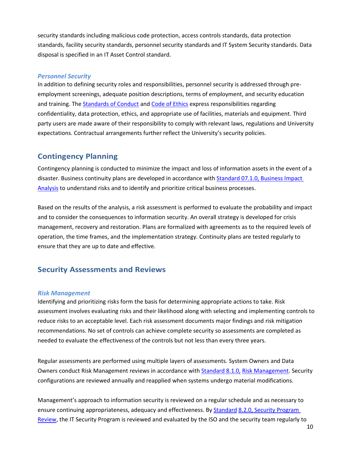security standards including malicious code protection, access controls standards, data protection standards, facility security standards, personnel security standards and IT System Security standards. Data disposal is specified in an IT Asset Control standard.

#### *Personnel Security*

In addition to defining security roles and responsibilities, personnel security is addressed through preemployment screenings, adequate position descriptions, terms of employment, and security education and training. The [Standards of Conduct](https://www.odu.edu/content/dam/odu/offices/human-resources/docs/Standards%20of%20Conduct-%20Policy%201.60.pdf) and [Code of Ethics](https://www.odu.edu/about/policiesandprocedures/university/1000/1002) express responsibilities regarding confidentiality, data protection, ethics, and appropriate use of facilities, materials and equipment. Third party users are made aware of their responsibility to comply with relevant laws, regulations and University expectations. Contractual arrangements further reflect the University's security policies.

### <span id="page-9-0"></span>**Contingency Planning**

Contingency planning is conducted to minimize the impact and loss of information assets in the event of a disaster. Business continuity plans are developed in accordance with [Standard](http://www.odu.edu/about/policiesandprocedures/computing/standards/07/01) 07.1.0, Business Impact [Analysis](http://www.odu.edu/about/policiesandprocedures/computing/standards/07/01) to understand risks and to identify and prioritize critical business processes.

Based on the results of the analysis, a risk assessment is performed to evaluate the probability and impact and to consider the consequences to information security. An overall strategy is developed for crisis management, recovery and restoration. Plans are formalized with agreements as to the required levels of operation, the time frames, and the implementation strategy. Continuity plans are tested regularly to ensure that they are up to date and effective.

### <span id="page-9-1"></span>**Security Assessments and Reviews**

#### *Risk Management*

Identifying and prioritizing risks form the basis for determining appropriate actions to take. Risk assessment involves evaluating risks and their likelihood along with selecting and implementing controls to reduce risks to an acceptable level. Each risk assessment documents major findings and risk mitigation recommendations. No set of controls can achieve complete security so assessments are completed as needed to evaluate the effectiveness of the controls but not less than every three years.

Regular assessments are performed using multiple layers of assessments. System Owners and Data Owners conduct Risk Management reviews in accordance with [Standard](https://www.odu.edu/about/policiesandprocedures/computing/standards/08/01) 8.1.0, Risk [Management.](https://www.odu.edu/about/policiesandprocedures/computing/standards/08/01) Security configurations are reviewed annually and reapplied when systems undergo material modifications.

Management's approach to information security is reviewed on a regular schedule and as necessary to ensure continuing appropriateness, adequacy and effectiveness. By [Standard](https://www.odu.edu/about/policiesandprocedures/computing/standards/08/02) 8.2.0, Security [Program](https://www.odu.edu/about/policiesandprocedures/computing/standards/08/02)  [Review,](https://www.odu.edu/about/policiesandprocedures/computing/standards/08/02) the IT Security Program is reviewed and evaluated by the ISO and the security team regularly to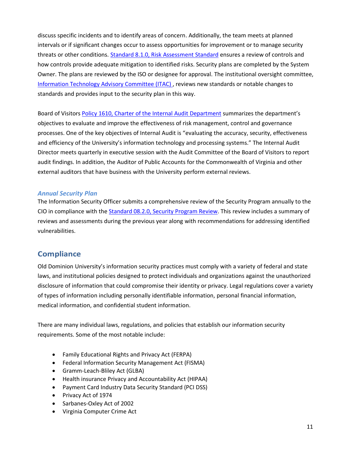discuss specific incidents and to identify areas of concern. Additionally, the team meets at planned intervals or if significant changes occur to assess opportunities for improvement or to manage security threats or other conditions. [Standard 8.1.0, Risk Assessment Standard](hhttp://www.odu.edu/about/policiesandprocedures/computing/standards/08/01) ensures a review of controls and how controls provide adequate mitigation to identified risks. Security plans are completed by the System Owner. The plans are reviewed by the ISO or designee for approval. The institutional oversight committee, [Information](http://www.odu.edu/its/advisory-committee/itac) Technology Advisory Committee (ITAC) , reviews new standards or notable changes to standards and provides input to the security plan in this way.

Board of Visitors Policy 1610, Charter of the Internal Audit [Department](http://www.odu.edu/content/dam/odu/offices/bov/policies/1600/BOV1610.pdf) summarizes the department's objectives to evaluate and improve the effectiveness of risk management, control and governance processes. One of the key objectives of Internal Audit is "evaluating the accuracy, security, effectiveness and efficiency of the University's information technology and processing systems." The Internal Audit Director meets quarterly in executive session with the Audit Committee of the Board of Visitors to report audit findings. In addition, the Auditor of Public Accounts for the Commonwealth of Virginia and other external auditors that have business with the University perform external reviews.

#### *Annual Security Plan*

The Information Security Officer submits a comprehensive review of the Security Program annually to the CIO in compliance with the Standard [08.2.0, Security](https://www.odu.edu/about/policiesandprocedures/computing/standards/08/02) Program Review. This review includes a summary of reviews and assessments during the previous year along with recommendations for addressing identified vulnerabilities.

### <span id="page-10-0"></span>**Compliance**

Old Dominion University's information security practices must comply with a variety of federal and state laws, and institutional policies designed to protect individuals and organizations against the unauthorized disclosure of information that could compromise their identity or privacy. Legal regulations cover a variety of types of information including personally identifiable information, personal financial information, medical information, and confidential student information.

There are many individual laws, regulations, and policies that establish our information security requirements. Some of the most notable include:

- Family Educational Rights and Privacy Act (FERPA)
- Federal Information Security Management Act (FISMA)
- Gramm-Leach-Bliley Act (GLBA)
- Health insurance Privacy and Accountability Act (HIPAA)
- Payment Card Industry Data Security Standard (PCI DSS)
- Privacy Act of 1974
- Sarbanes-Oxley Act of 2002
- Virginia Computer Crime Act